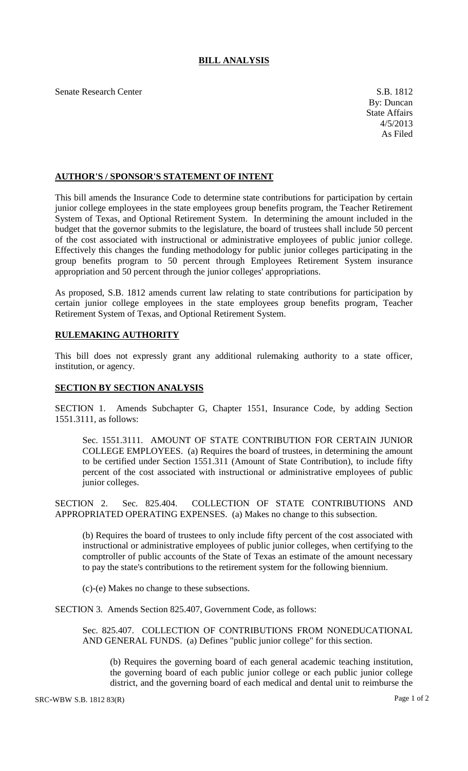## **BILL ANALYSIS**

Senate Research Center S.B. 1812

## **AUTHOR'S / SPONSOR'S STATEMENT OF INTENT**

This bill amends the Insurance Code to determine state contributions for participation by certain junior college employees in the state employees group benefits program, the Teacher Retirement System of Texas, and Optional Retirement System. In determining the amount included in the budget that the governor submits to the legislature, the board of trustees shall include 50 percent of the cost associated with instructional or administrative employees of public junior college. Effectively this changes the funding methodology for public junior colleges participating in the group benefits program to 50 percent through Employees Retirement System insurance appropriation and 50 percent through the junior colleges' appropriations.

As proposed, S.B. 1812 amends current law relating to state contributions for participation by certain junior college employees in the state employees group benefits program, Teacher Retirement System of Texas, and Optional Retirement System.

## **RULEMAKING AUTHORITY**

This bill does not expressly grant any additional rulemaking authority to a state officer, institution, or agency.

## **SECTION BY SECTION ANALYSIS**

SECTION 1. Amends Subchapter G, Chapter 1551, Insurance Code, by adding Section 1551.3111, as follows:

Sec. 1551.3111. AMOUNT OF STATE CONTRIBUTION FOR CERTAIN JUNIOR COLLEGE EMPLOYEES. (a) Requires the board of trustees, in determining the amount to be certified under Section 1551.311 (Amount of State Contribution), to include fifty percent of the cost associated with instructional or administrative employees of public junior colleges.

SECTION 2. Sec. 825.404. COLLECTION OF STATE CONTRIBUTIONS AND APPROPRIATED OPERATING EXPENSES. (a) Makes no change to this subsection.

(b) Requires the board of trustees to only include fifty percent of the cost associated with instructional or administrative employees of public junior colleges, when certifying to the comptroller of public accounts of the State of Texas an estimate of the amount necessary to pay the state's contributions to the retirement system for the following biennium.

(c)-(e) Makes no change to these subsections.

SECTION 3. Amends Section 825.407, Government Code, as follows:

Sec. 825.407. COLLECTION OF CONTRIBUTIONS FROM NONEDUCATIONAL AND GENERAL FUNDS. (a) Defines "public junior college" for this section.

(b) Requires the governing board of each general academic teaching institution, the governing board of each public junior college or each public junior college district, and the governing board of each medical and dental unit to reimburse the